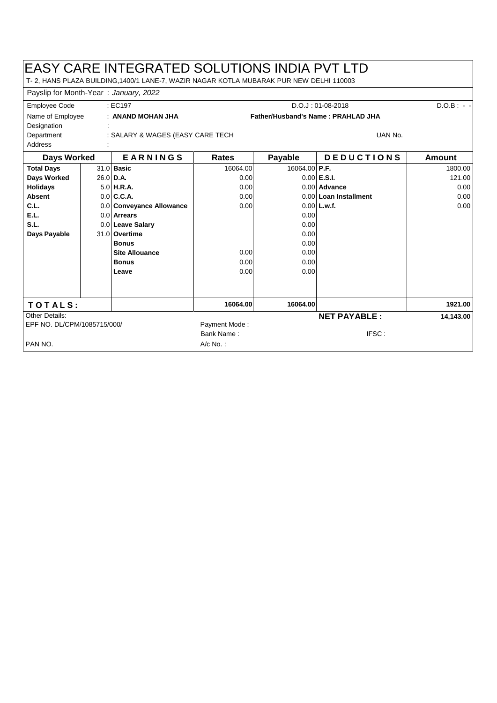## EASY CARE INTEGRATED SOLUTIONS INDIA PVT LTD

T- 2, HANS PLAZA BUILDING,1400/1 LANE-7, WAZIR NAGAR KOTLA MUBARAK PUR NEW DELHI 110003

| Payslip for Month-Year: January, 2022          |  |                          |                                    |               |                       |               |  |
|------------------------------------------------|--|--------------------------|------------------------------------|---------------|-----------------------|---------------|--|
| : EC197<br><b>Employee Code</b>                |  | $D.O.J: 01-08-2018$      |                                    |               | $D.O.B: - -$          |               |  |
| Name of Employee<br>Designation                |  | : ANAND MOHAN JHA        | Father/Husband's Name: PRAHLAD JHA |               |                       |               |  |
| : SALARY & WAGES (EASY CARE TECH<br>Department |  |                          |                                    |               | UAN No.               |               |  |
| <b>Address</b>                                 |  |                          |                                    |               |                       |               |  |
| Days Worked                                    |  | <b>EARNINGS</b>          | Rates                              | Payable       | <b>DEDUCTIONS</b>     | <b>Amount</b> |  |
| <b>Total Days</b>                              |  | $31.0$ Basic             | 16064.00                           | 16064.00 P.F. |                       | 1800.00       |  |
| Days Worked                                    |  | $26.0$ D.A.              | 0.00                               |               | $0.00$ E.S.I.         | 121.00        |  |
| <b>Holidays</b>                                |  | $5.0$ H.R.A.             | 0.00                               |               | 0.00 Advance          | 0.00          |  |
| <b>Absent</b>                                  |  | $0.0$ C.C.A.             | 0.00                               |               | 0.00 Loan Installment | 0.00          |  |
| C.L.                                           |  | 0.0 Conveyance Allowance | 0.00                               |               | $0.00$ L.w.f.         | 0.00          |  |
| E.L.                                           |  | 0.0 Arrears              |                                    | 0.00          |                       |               |  |
| S.L.                                           |  | 0.0 Leave Salary         |                                    | 0.00          |                       |               |  |
| Days Payable                                   |  | 31.0 Overtime            |                                    | 0.00          |                       |               |  |
|                                                |  | <b>Bonus</b>             |                                    | 0.00          |                       |               |  |
|                                                |  | <b>Site Allouance</b>    | 0.00                               | 0.00          |                       |               |  |
|                                                |  | <b>Bonus</b>             | 0.00                               | 0.00          |                       |               |  |
|                                                |  | Leave                    | 0.00                               | 0.00          |                       |               |  |
|                                                |  |                          |                                    |               |                       |               |  |
|                                                |  |                          |                                    |               |                       |               |  |
| TOTALS:                                        |  |                          | 16064.00                           | 16064.00      |                       | 1921.00       |  |
| Other Details:                                 |  |                          |                                    |               | <b>NET PAYABLE:</b>   | 14,143.00     |  |
| EPF NO. DL/CPM/1085715/000/                    |  |                          | Payment Mode:                      |               |                       |               |  |
|                                                |  |                          | Bank Name:                         |               | IFSC:                 |               |  |
| PAN NO.                                        |  |                          | A/c No.:                           |               |                       |               |  |